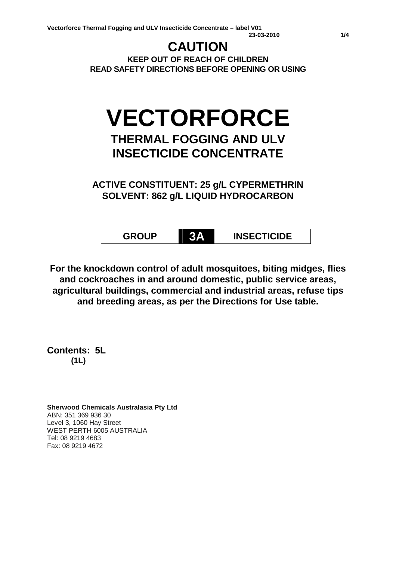## **CAUTION**

**KEEP OUT OF REACH OF CHILDREN READ SAFETY DIRECTIONS BEFORE OPENING OR USING**

# **VECTORFORCE**

### **THERMAL FOGGING AND ULV INSECTICIDE CONCENTRATE**

**ACTIVE CONSTITUENT: 25 g/L CYPERMETHRIN SOLVENT: 862 g/L LIQUID HYDROCARBON**

**GROUP 3A INSECTICIDE**

**For the knockdown control of adult mosquitoes, biting midges, flies and cockroaches in and around domestic, public service areas, agricultural buildings, commercial and industrial areas, refuse tips and breeding areas, as per the Directions for Use table.**

**Contents: 5L (1L)**

**Sherwood Chemicals Australasia Pty Ltd** ABN: 351 369 936 30 Level 3, 1060 Hay Street WEST PERTH 6005 AUSTRALIA Tel: 08 9219 4683 Fax: 08 9219 4672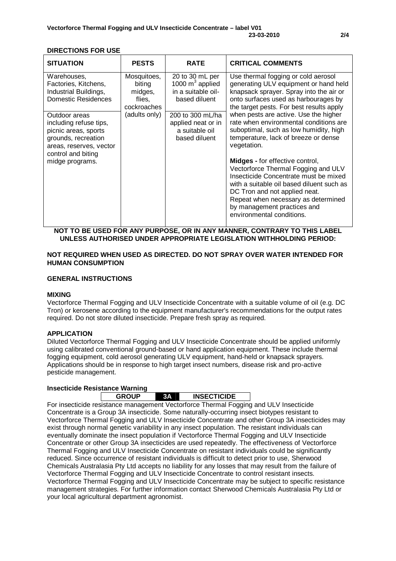#### **DIRECTIONS FOR USE**

| <b>SITUATION</b>                                                                                                  | <b>PESTS</b>                                                                                     | <b>RATE</b>                                                                                                                                               | <b>CRITICAL COMMENTS</b>                                                                                                                                                                                                                                                                                                                                                                        |
|-------------------------------------------------------------------------------------------------------------------|--------------------------------------------------------------------------------------------------|-----------------------------------------------------------------------------------------------------------------------------------------------------------|-------------------------------------------------------------------------------------------------------------------------------------------------------------------------------------------------------------------------------------------------------------------------------------------------------------------------------------------------------------------------------------------------|
| Warehouses,<br>Factories, Kitchens,<br>Industrial Buildings,<br><b>Domestic Residences</b>                        | Mosquitoes,<br>biting<br>midges,<br>flies,<br>cockroaches<br>(adults only)<br>control and biting | 20 to 30 mL per<br>1000 $m^3$ applied<br>in a suitable oil-<br>based diluent<br>200 to 300 mL/ha<br>applied neat or in<br>a suitable oil<br>based diluent | Use thermal fogging or cold aerosol<br>generating ULV equipment or hand held<br>knapsack sprayer. Spray into the air or<br>onto surfaces used as harbourages by<br>the target pests. For best results apply<br>when pests are active. Use the higher<br>rate when environmental conditions are<br>suboptimal, such as low humidity, high<br>temperature, lack of breeze or dense<br>vegetation. |
| Outdoor areas<br>including refuse tips,<br>picnic areas, sports<br>grounds, recreation<br>areas, reserves, vector |                                                                                                  |                                                                                                                                                           |                                                                                                                                                                                                                                                                                                                                                                                                 |
| midge programs.                                                                                                   |                                                                                                  |                                                                                                                                                           | <b>Midges - for effective control,</b><br>Vectorforce Thermal Fogging and ULV<br>Insecticide Concentrate must be mixed<br>with a suitable oil based diluent such as<br>DC Tron and not applied neat.<br>Repeat when necessary as determined<br>by management practices and<br>environmental conditions.                                                                                         |

**NOT TO BE USED FOR ANY PURPOSE, OR IN ANY MANNER, CONTRARY TO THIS LABEL UNLESS AUTHORISED UNDER APPROPRIATE LEGISLATION WITHHOLDING PERIOD:**

#### **NOT REQUIRED WHEN USED AS DIRECTED. DO NOT SPRAY OVER WATER INTENDED FOR HUMAN CONSUMPTION**

#### **GENERAL INSTRUCTIONS**

#### **MIXING**

Vectorforce Thermal Fogging and ULV Insecticide Concentrate with a suitable volume of oil (e.g. DC Tron) or kerosene according to the equipment manufacturer's recommendations for the output rates required. Do not store diluted insecticide. Prepare fresh spray as required.

#### **APPLICATION**

Diluted Vectorforce Thermal Fogging and ULV Insecticide Concentrate should be applied uniformly using calibrated conventional ground-based or hand application equipment. These include thermal fogging equipment, cold aerosol generating ULV equipment, hand-held or knapsack sprayers. Applications should be in response to high target insect numbers, disease risk and pro-active pesticide management.

#### **Insecticide Resistance Warning**

**GROUP 3A INSECTICIDE**

For insecticide resistance management Vectorforce Thermal Fogging and ULV Insecticide Concentrate is a Group 3A insecticide. Some naturally-occurring insect biotypes resistant to Vectorforce Thermal Fogging and ULV Insecticide Concentrate and other Group 3A insecticides may exist through normal genetic variability in any insect population. The resistant individuals can eventually dominate the insect population if Vectorforce Thermal Fogging and ULV Insecticide Concentrate or other Group 3A insecticides are used repeatedly. The effectiveness of Vectorforce Thermal Fogging and ULV Insecticide Concentrate on resistant individuals could be significantly reduced. Since occurrence of resistant individuals is difficult to detect prior to use, Sherwood Chemicals Australasia Pty Ltd accepts no liability for any losses that may result from the failure of Vectorforce Thermal Fogging and ULV Insecticide Concentrate to control resistant insects. Vectorforce Thermal Fogging and ULV Insecticide Concentrate may be subject to specific resistance management strategies. For further information contact Sherwood Chemicals Australasia Pty Ltd or your local agricultural department agronomist.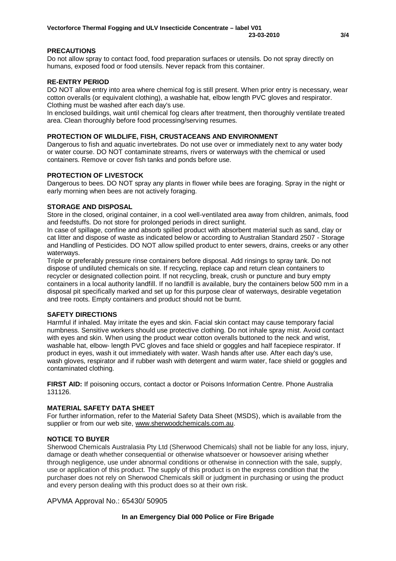#### **PRECAUTIONS**

Do not allow spray to contact food, food preparation surfaces or utensils. Do not spray directly on humans, exposed food or food utensils. Never repack from this container.

#### **RE-ENTRY PERIOD**

DO NOT allow entry into area where chemical fog is still present. When prior entry is necessary, wear cotton overalls (or equivalent clothing), a washable hat, elbow length PVC gloves and respirator. Clothing must be washed after each day's use.

In enclosed buildings, wait until chemical fog clears after treatment, then thoroughly ventilate treated area. Clean thoroughly before food processing/serving resumes.

#### **PROTECTION OF WILDLIFE, FISH, CRUSTACEANS AND ENVIRONMENT**

Dangerous to fish and aquatic invertebrates. Do not use over or immediately next to any water body or water course. DO NOT contaminate streams, rivers or waterways with the chemical or used containers. Remove or cover fish tanks and ponds before use.

#### **PROTECTION OF LIVESTOCK**

Dangerous to bees. DO NOT spray any plants in flower while bees are foraging. Spray in the night or early morning when bees are not actively foraging.

#### **STORAGE AND DISPOSAL**

Store in the closed, original container, in a cool well-ventilated area away from children, animals, food and feedstuffs. Do not store for prolonged periods in direct sunlight.

In case of spillage, confine and absorb spilled product with absorbent material such as sand, clay or cat litter and dispose of waste as indicated below or according to Australian Standard 2507 - Storage and Handling of Pesticides. DO NOT allow spilled product to enter sewers, drains, creeks or any other waterways.

Triple or preferably pressure rinse containers before disposal. Add rinsings to spray tank. Do not dispose of undiluted chemicals on site. If recycling, replace cap and return clean containers to recycler or designated collection point. If not recycling, break, crush or puncture and bury empty containers in a local authority landfill. If no landfill is available, bury the containers below 500 mm in a disposal pit specifically marked and set up for this purpose clear of waterways, desirable vegetation and tree roots. Empty containers and product should not be burnt.

#### **SAFETY DIRECTIONS**

Harmful if inhaled. May irritate the eyes and skin. Facial skin contact may cause temporary facial numbness. Sensitive workers should use protective clothing. Do not inhale spray mist. Avoid contact with eyes and skin. When using the product wear cotton overalls buttoned to the neck and wrist, washable hat, elbow- length PVC gloves and face shield or goggles and half facepiece respirator. If product in eyes, wash it out immediately with water. Wash hands after use. After each day's use, wash gloves, respirator and if rubber wash with detergent and warm water, face shield or goggles and contaminated clothing.

**FIRST AID:** If poisoning occurs, contact a doctor or Poisons Information Centre. Phone Australia 131126.

#### **MATERIAL SAFETY DATA SHEET**

For further information, refer to the Material Safety Data Sheet (MSDS), which is available from the supplier or from our web site, www.sherwoodchemicals.com.au.

#### **NOTICE TO BUYER**

Sherwood Chemicals Australasia Pty Ltd (Sherwood Chemicals) shall not be liable for any loss, injury, damage or death whether consequential or otherwise whatsoever or howsoever arising whether through negligence, use under abnormal conditions or otherwise in connection with the sale, supply, use or application of this product. The supply of this product is on the express condition that the purchaser does not rely on Sherwood Chemicals skill or judgment in purchasing or using the product and every person dealing with this product does so at their own risk.

APVMA Approval No.: 65430/ 50905

#### **In an Emergency Dial 000 Police or Fire Brigade**